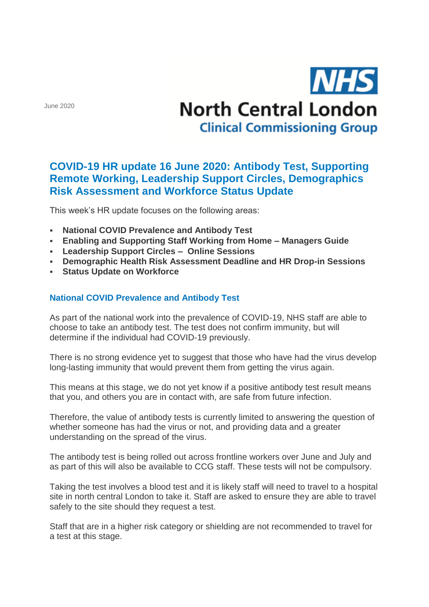June 2020

# **NHS North Central London Clinical Commissioning Group**

# **COVID-19 HR update 16 June 2020: Antibody Test, Supporting Remote Working, Leadership Support Circles, Demographics Risk Assessment and Workforce Status Update**

This week's HR update focuses on the following areas:

- **National COVID Prevalence and Antibody Test**
- **Enabling and Supporting Staff Working from Home – Managers Guide**
- **Leadership Support Circles – Online Sessions**
- **Demographic Health Risk Assessment Deadline and HR Drop-in Sessions**
- **Status Update on Workforce**

#### **National COVID Prevalence and Antibody Test**

As part of the national work into the prevalence of COVID-19, NHS staff are able to choose to take an antibody test. The test does not confirm immunity, but will determine if the individual had COVID-19 previously.

There is no strong evidence yet to suggest that those who have had the virus develop long-lasting immunity that would prevent them from getting the virus again.

This means at this stage, we do not yet know if a positive antibody test result means that you, and others you are in contact with, are safe from future infection.

Therefore, the value of antibody tests is currently limited to answering the question of whether someone has had the virus or not, and providing data and a greater understanding on the spread of the virus.

The antibody test is being rolled out across frontline workers over June and July and as part of this will also be available to CCG staff. These tests will not be compulsory.

Taking the test involves a blood test and it is likely staff will need to travel to a hospital site in north central London to take it. Staff are asked to ensure they are able to travel safely to the site should they request a test.

Staff that are in a higher risk category or shielding are not recommended to travel for a test at this stage.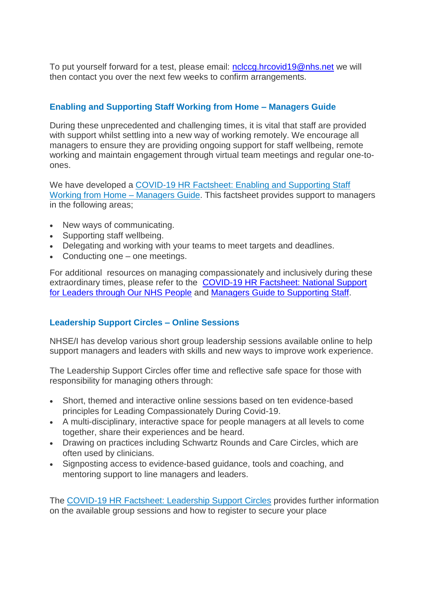To put yourself forward for a test, please email: [nclccg.hrcovid19@nhs.net](mailto:nclccg.hrcovid19@nhs.net) we will then contact you over the next few weeks to confirm arrangements.

## **Enabling and Supporting Staff Working from Home – Managers Guide**

During these unprecedented and challenging times, it is vital that staff are provided with support whilst settling into a new way of working remotely. We encourage all managers to ensure they are providing ongoing support for staff wellbeing, remote working and maintain engagement through virtual team meetings and regular one-toones.

We have developed a [COVID-19 HR Factsheet: Enabling and Supporting Staff](http://camdenccg.newsweaver.com/briefing/4z13p9hz6t814ksjv241n0/external?email=true&a=6&p=5465246&t=356442)  [Working from Home –](http://camdenccg.newsweaver.com/briefing/4z13p9hz6t814ksjv241n0/external?email=true&a=6&p=5465246&t=356442) Managers Guide. This factsheet provides support to managers in the following areas;

- New ways of communicating.
- Supporting staff wellbeing.
- Delegating and working with your teams to meet targets and deadlines.
- Conducting one one meetings.

For additional resources on managing compassionately and inclusively during these extraordinary times, please refer to the [COVID-19 HR Factsheet: National Support](http://camdenccg.newsweaver.com/briefing/1hoilluuoi114ksjv241n0/external?email=true&a=6&p=5465246&t=356442)  [for Leaders through Our NHS People](http://camdenccg.newsweaver.com/briefing/1hoilluuoi114ksjv241n0/external?email=true&a=6&p=5465246&t=356442) and [Managers Guide to Supporting Staff.](http://camdenccg.newsweaver.com/briefing/7esficsw9ex14ksjv241n0/external?email=true&a=6&p=5465246&t=356442)

#### **Leadership Support Circles – Online Sessions**

NHSE/I has develop various short group leadership sessions available online to help support managers and leaders with skills and new ways to improve work experience.

The Leadership Support Circles offer time and reflective safe space for those with responsibility for managing others through:

- Short, themed and interactive online sessions based on ten evidence-based principles for Leading Compassionately During Covid-19.
- A multi-disciplinary, interactive space for people managers at all levels to come together, share their experiences and be heard.
- Drawing on practices including Schwartz Rounds and Care Circles, which are often used by clinicians.
- Signposting access to evidence-based guidance, tools and coaching, and mentoring support to line managers and leaders.

The [COVID-19 HR Factsheet: Leadership Support Circles](http://camdenccg.newsweaver.com/briefing/1xm3jkbalir14ksjv241n0/external?email=true&a=6&p=5465246&t=356442) provides further information on the available group sessions and how to register to secure your place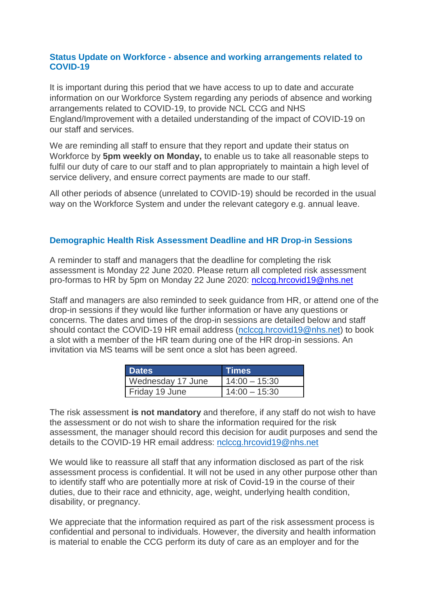#### **Status Update on Workforce - absence and working arrangements related to COVID-19**

It is important during this period that we have access to up to date and accurate information on our Workforce System regarding any periods of absence and working arrangements related to COVID-19, to provide NCL CCG and NHS England/Improvement with a detailed understanding of the impact of COVID-19 on our staff and services.

We are reminding all staff to ensure that they report and update their status on Workforce by **5pm weekly on Monday,** to enable us to take all reasonable steps to fulfil our duty of care to our staff and to plan appropriately to maintain a high level of service delivery, and ensure correct payments are made to our staff.

All other periods of absence (unrelated to COVID-19) should be recorded in the usual way on the Workforce System and under the relevant category e.g. annual leave.

#### **Demographic Health Risk Assessment Deadline and HR Drop-in Sessions**

A reminder to staff and managers that the deadline for completing the risk assessment is Monday 22 June 2020. Please return all completed risk assessment pro-formas to HR by 5pm on Monday 22 June 2020: [nclccg.hrcovid19@nhs.net](mailto:nclccg.hrcovid19@nhs.net)

Staff and managers are also reminded to seek guidance from HR, or attend one of the drop-in sessions if they would like further information or have any questions or concerns. The dates and times of the drop-in sessions are detailed below and staff should contact the COVID-19 HR email address [\(nclccg.hrcovid19@nhs.net\)](mailto:nclccg.hrcovid19@nhs.net) to book a slot with a member of the HR team during one of the HR drop-in sessions. An invitation via MS teams will be sent once a slot has been agreed.

| <b>⊟Dates</b>     | <b>Times</b>    |
|-------------------|-----------------|
| Wednesday 17 June | $14:00 - 15:30$ |
| Friday 19 June    | $14:00 - 15:30$ |

The risk assessment **is not mandatory** and therefore, if any staff do not wish to have the assessment or do not wish to share the information required for the risk assessment, the manager should record this decision for audit purposes and send the details to the COVID-19 HR email address: [nclccg.hrcovid19@nhs.net](mailto:nclccg.hrcovid19@nhs.net)

We would like to reassure all staff that any information disclosed as part of the risk assessment process is confidential. It will not be used in any other purpose other than to identify staff who are potentially more at risk of Covid-19 in the course of their duties, due to their race and ethnicity, age, weight, underlying health condition, disability, or pregnancy.

We appreciate that the information required as part of the risk assessment process is confidential and personal to individuals. However, the diversity and health information is material to enable the CCG perform its duty of care as an employer and for the